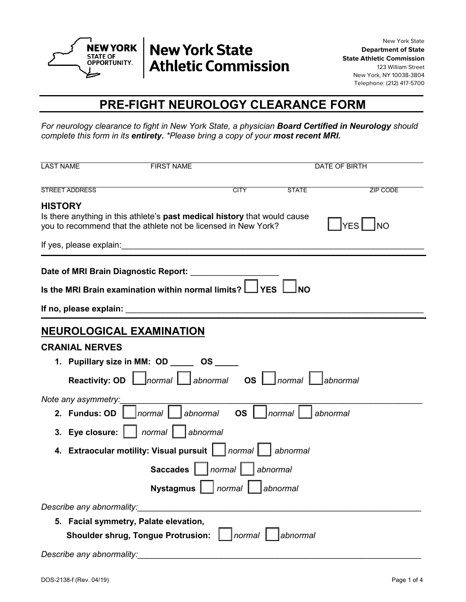

# **New York State Athletic Commission**

New York State **Department of State State Athletic Commission** 123 William Street New York, NY 10038-3804 Telephone: (212) 417-5700

#### **PRE-FIGHT NEUROLOGY CLEARANCE FORM**

*For neurology clearance to fight in New York State, a physician Board Certified in Neurology should complete this form in its entirety. \*Please bring a copy of your most recent MRI.*

| <b>LAST NAME</b>                     | <b>FIRST NAME</b>                                                                                                                           |             |                            | DATE OF BIRTH           |
|--------------------------------------|---------------------------------------------------------------------------------------------------------------------------------------------|-------------|----------------------------|-------------------------|
| <b>STREET ADDRESS</b>                |                                                                                                                                             | <b>CITY</b> | <b>STATE</b>               | ZIP CODE                |
| <b>HISTORY</b>                       | Is there anything in this athlete's past medical history that would cause<br>you to recommend that the athlete not be licensed in New York? |             |                            | <b>NO</b><br><b>YES</b> |
|                                      |                                                                                                                                             |             |                            |                         |
| Date of MRI Brain Diagnostic Report: | Is the MRI Brain examination within normal limits?                                                                                          | $1$ YES     |                            |                         |
|                                      |                                                                                                                                             |             |                            |                         |
|                                      | <b>NEUROLOGICAL EXAMINATION</b>                                                                                                             |             |                            |                         |
| <b>CRANIAL NERVES</b>                |                                                                                                                                             |             |                            |                         |
|                                      | 1. Pupillary size in MM: OD ______ OS _                                                                                                     |             |                            |                         |
| <b>Reactivity: OD</b>                | $\lfloor$ normal $\lfloor \_ \rfloor$ abnormal $\;$ OS $\lfloor \_ \,$                                                                      |             | $\mid$ normal $\mid$       | _labnormal              |
| Note any asymmetry:<br>2. Fundus: OD | $ normal $ $ $ abnormal $ $ OS $ $                                                                                                          |             | <i>Inormal</i><br>abnormal |                         |
|                                      | 3. Eye closure:     normal     abnormal                                                                                                     |             |                            |                         |
| 4.                                   | <b>Extraocular motility: Visual pursuit   normal  </b>                                                                                      |             | abnormal                   |                         |
|                                      | Saccades       normal                                                                                                                       |             | l abnormal                 |                         |
|                                      | <b>Nystagmus</b>                                                                                                                            | normal      | abnormal                   |                         |
| Describe any abnormality:            |                                                                                                                                             |             |                            |                         |
|                                      | 5. Facial symmetry, Palate elevation,                                                                                                       |             |                            |                         |
|                                      | <b>Shoulder shrug, Tongue Protrusion:</b>                                                                                                   | normal      | abnormal                   |                         |
|                                      | Describe any abnormality: Describe any abnormality:                                                                                         |             |                            |                         |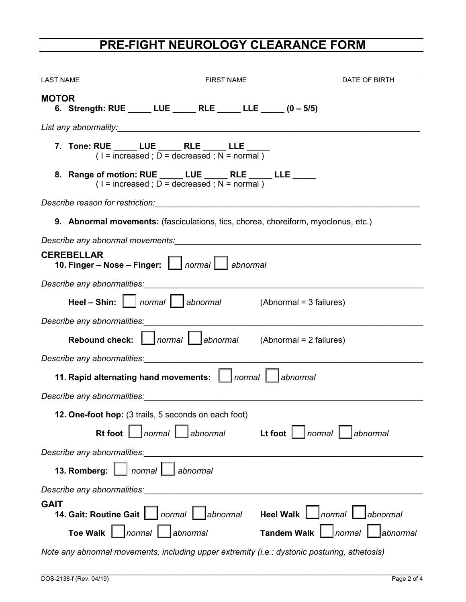### **PRE-FIGHT NEUROLOGY CLEARANCE FORM**

| <b>LAST NAME</b>                                                                                                                                                                                                               | <b>FIRST NAME</b>                                                                                                                                                                                                              |                          | DATE OF BIRTH                    |  |
|--------------------------------------------------------------------------------------------------------------------------------------------------------------------------------------------------------------------------------|--------------------------------------------------------------------------------------------------------------------------------------------------------------------------------------------------------------------------------|--------------------------|----------------------------------|--|
| <b>MOTOR</b>                                                                                                                                                                                                                   | 6. Strength: RUE _____ LUE ______ RLE _____ LLE _____ (0-5/5)                                                                                                                                                                  |                          |                                  |  |
|                                                                                                                                                                                                                                |                                                                                                                                                                                                                                |                          |                                  |  |
|                                                                                                                                                                                                                                | 7. Tone: RUE _____ LUE _____ RLE _____ LLE _____<br>(l = increased ; D = decreased ; N = normal )                                                                                                                              |                          |                                  |  |
|                                                                                                                                                                                                                                | 8. Range of motion: RUE _____ LUE _____ RLE _____ LLE _____<br>$(1 = increased : D = decreased : N = normal)$                                                                                                                  |                          |                                  |  |
|                                                                                                                                                                                                                                | Describe reason for restriction: National Contract of the contract of the contract of the contract of the contract of the contract of the contract of the contract of the contract of the contract of the contract of the cont |                          |                                  |  |
|                                                                                                                                                                                                                                | <b>9. Abnormal movements:</b> (fasciculations, tics, chorea, choreiform, myoclonus, etc.)                                                                                                                                      |                          |                                  |  |
|                                                                                                                                                                                                                                |                                                                                                                                                                                                                                |                          |                                  |  |
| <b>CEREBELLAR</b><br>10. Finger - Nose - Finger:     normal   abnormal                                                                                                                                                         |                                                                                                                                                                                                                                |                          |                                  |  |
|                                                                                                                                                                                                                                |                                                                                                                                                                                                                                |                          |                                  |  |
|                                                                                                                                                                                                                                | <b>Heel – Shin:</b> $\ \cdot\ $ <i>normal</i> $\ \cdot\ $ <i>abnormal</i> (Abnormal = 3 failures)                                                                                                                              |                          |                                  |  |
|                                                                                                                                                                                                                                | Describe any abnormalities:                                                                                                                                                                                                    |                          |                                  |  |
|                                                                                                                                                                                                                                |                                                                                                                                                                                                                                |                          |                                  |  |
|                                                                                                                                                                                                                                | Describe any abnormalities: www.assett.com/describe/absolute and all and all and all and all and all and all a                                                                                                                 |                          |                                  |  |
| 11. Rapid alternating hand movements:     normal   abnormal                                                                                                                                                                    |                                                                                                                                                                                                                                |                          |                                  |  |
| Describe any abnormalities: with a state of the contract of the contract of the contract of the contract of the contract of the contract of the contract of the contract of the contract of the contract of the contract of th |                                                                                                                                                                                                                                |                          |                                  |  |
|                                                                                                                                                                                                                                | 12. One-foot hop: (3 trails, 5 seconds on each foot)                                                                                                                                                                           |                          |                                  |  |
|                                                                                                                                                                                                                                | Rt foot $\Box$ normal $\Box$ abnormal                                                                                                                                                                                          | Lt foot $\ $<br>  normal | abnormal                         |  |
|                                                                                                                                                                                                                                | Describe any abnormalities: Note and the series of the series of the series of the series of the series of the series of the series of the series of the series of the series of the series of the series of the series of the |                          |                                  |  |
|                                                                                                                                                                                                                                | 13. Romberg:     normal   abnormal                                                                                                                                                                                             |                          |                                  |  |
| Describe any abnormalities:                                                                                                                                                                                                    |                                                                                                                                                                                                                                |                          |                                  |  |
| <b>GAIT</b><br>14. Gait: Routine Gait     normal                                                                                                                                                                               | abnormal                                                                                                                                                                                                                       | Heel Walk $\ $ normal    | abnormal                         |  |
| <b>Toe Walk</b>                                                                                                                                                                                                                | normal abnormal                                                                                                                                                                                                                | <b>Tandem Walk</b>       | $\Box$ normal<br><i>abnormal</i> |  |

*Note any abnormal movements, including upper extremity (i.e.: dystonic posturing, athetosis)*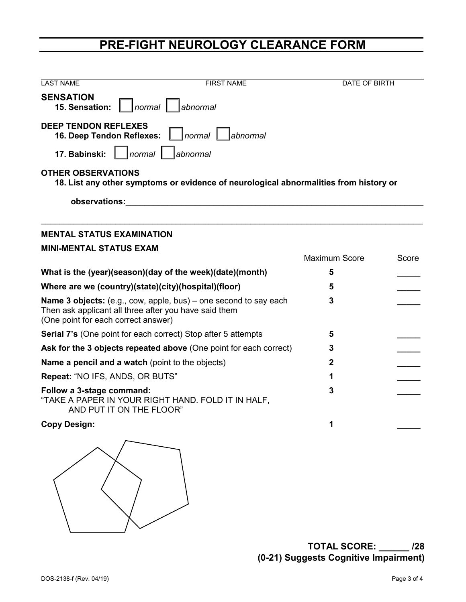## **PRE-FIGHT NEUROLOGY CLEARANCE FORM**

| <b>LAST NAME</b>                                                                                                   | <b>FIRST NAME</b>                                                       | <b>DATE OF BIRTH</b> |       |  |  |  |
|--------------------------------------------------------------------------------------------------------------------|-------------------------------------------------------------------------|----------------------|-------|--|--|--|
| <b>SENSATION</b><br>15. Sensation:                                                                                 | normal     abnormal                                                     |                      |       |  |  |  |
| <b>DEEP TENDON REFLEXES</b><br>16. Deep Tendon Reflexes:                                                           | normal<br>abnormal                                                      |                      |       |  |  |  |
| normal  <br>17. Babinski:                                                                                          | abnormal                                                                |                      |       |  |  |  |
| <b>OTHER OBSERVATIONS</b><br>18. List any other symptoms or evidence of neurological abnormalities from history or |                                                                         |                      |       |  |  |  |
| observations:                                                                                                      |                                                                         |                      |       |  |  |  |
|                                                                                                                    |                                                                         |                      |       |  |  |  |
| <b>MENTAL STATUS EXAMINATION</b>                                                                                   |                                                                         |                      |       |  |  |  |
| <b>MINI-MENTAL STATUS EXAM</b>                                                                                     |                                                                         |                      |       |  |  |  |
|                                                                                                                    |                                                                         | <b>Maximum Score</b> | Score |  |  |  |
| What is the (year)(season)(day of the week)(date)(month)                                                           |                                                                         | 5                    |       |  |  |  |
| Where are we (country)(state)(city)(hospital)(floor)                                                               | 5                                                                       |                      |       |  |  |  |
| Then ask applicant all three after you have said them<br>(One point for each correct answer)                       | <b>Name 3 objects:</b> (e.g., cow, apple, bus) – one second to say each | 3                    |       |  |  |  |
| Serial 7's (One point for each correct) Stop after 5 attempts                                                      | 5                                                                       |                      |       |  |  |  |
| Ask for the 3 objects repeated above (One point for each correct)                                                  | 3                                                                       |                      |       |  |  |  |
| Name a pencil and a watch (point to the objects)                                                                   | 2                                                                       |                      |       |  |  |  |
| Repeat: "NO IFS, ANDS, OR BUTS"                                                                                    | 1                                                                       |                      |       |  |  |  |
| Follow a 3-stage command:<br>"TAKE A PAPER IN YOUR RIGHT HAND. FOLD IT IN HALF,<br>AND PUT IT ON THE FLOOR"        | 3                                                                       |                      |       |  |  |  |
| <b>Copy Design:</b>                                                                                                |                                                                         | 1                    |       |  |  |  |
|                                                                                                                    |                                                                         |                      |       |  |  |  |

**TOTAL SCORE: \_\_\_\_\_\_ /28 (0-21) Suggests Cognitive Impairment)**

 $\Bigg)$ 

 $\searrow$